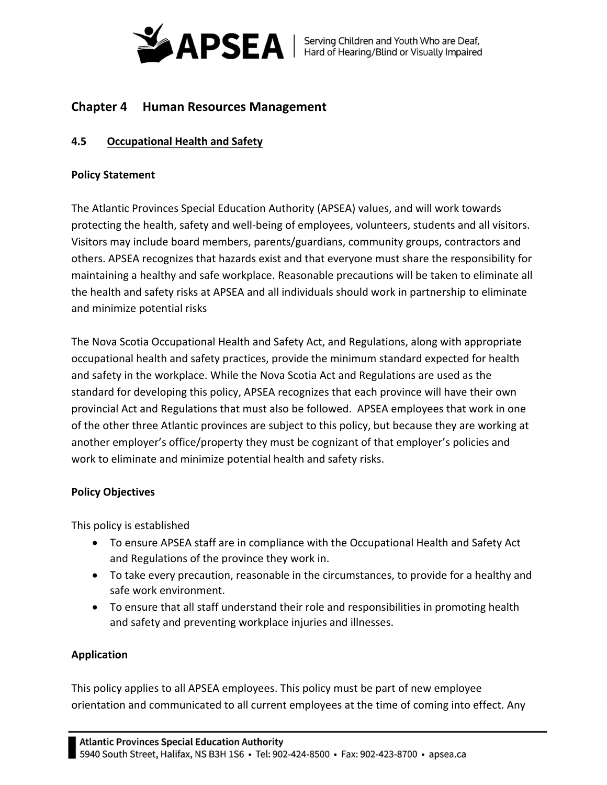

# **Chapter 4 Human Resources Management**

## **4.5 Occupational Health and Safety**

#### **Policy Statement**

The Atlantic Provinces Special Education Authority (APSEA) values, and will work towards protecting the health, safety and well‐being of employees, volunteers, students and all visitors. Visitors may include board members, parents/guardians, community groups, contractors and others. APSEA recognizes that hazards exist and that everyone must share the responsibility for maintaining a healthy and safe workplace. Reasonable precautions will be taken to eliminate all the health and safety risks at APSEA and all individuals should work in partnership to eliminate and minimize potential risks

The Nova Scotia Occupational Health and Safety Act, and Regulations, along with appropriate occupational health and safety practices, provide the minimum standard expected for health and safety in the workplace. While the Nova Scotia Act and Regulations are used as the standard for developing this policy, APSEA recognizes that each province will have their own provincial Act and Regulations that must also be followed. APSEA employees that work in one of the other three Atlantic provinces are subject to this policy, but because they are working at another employer's office/property they must be cognizant of that employer's policies and work to eliminate and minimize potential health and safety risks.

#### **Policy Objectives**

This policy is established

- To ensure APSEA staff are in compliance with the Occupational Health and Safety Act and Regulations of the province they work in.
- To take every precaution, reasonable in the circumstances, to provide for a healthy and safe work environment.
- To ensure that all staff understand their role and responsibilities in promoting health and safety and preventing workplace injuries and illnesses.

#### **Application**

This policy applies to all APSEA employees. This policy must be part of new employee orientation and communicated to all current employees at the time of coming into effect. Any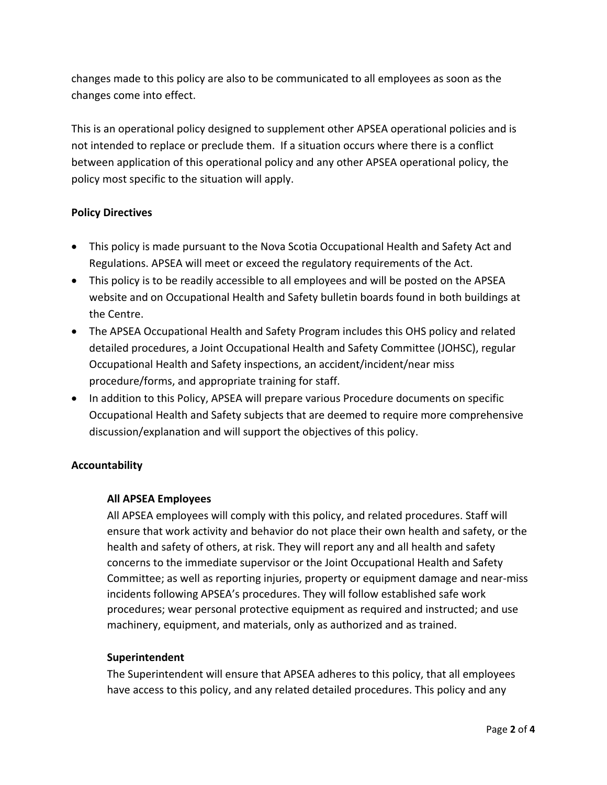changes made to this policy are also to be communicated to all employees as soon as the changes come into effect.

This is an operational policy designed to supplement other APSEA operational policies and is not intended to replace or preclude them. If a situation occurs where there is a conflict between application of this operational policy and any other APSEA operational policy, the policy most specific to the situation will apply.

### **Policy Directives**

- This policy is made pursuant to the Nova Scotia Occupational Health and Safety Act and Regulations. APSEA will meet or exceed the regulatory requirements of the Act.
- This policy is to be readily accessible to all employees and will be posted on the APSEA website and on Occupational Health and Safety bulletin boards found in both buildings at the Centre.
- The APSEA Occupational Health and Safety Program includes this OHS policy and related detailed procedures, a Joint Occupational Health and Safety Committee (JOHSC), regular Occupational Health and Safety inspections, an accident/incident/near miss procedure/forms, and appropriate training for staff.
- In addition to this Policy, APSEA will prepare various Procedure documents on specific Occupational Health and Safety subjects that are deemed to require more comprehensive discussion/explanation and will support the objectives of this policy.

## **Accountability**

#### **All APSEA Employees**

All APSEA employees will comply with this policy, and related procedures. Staff will ensure that work activity and behavior do not place their own health and safety, or the health and safety of others, at risk. They will report any and all health and safety concerns to the immediate supervisor or the Joint Occupational Health and Safety Committee; as well as reporting injuries, property or equipment damage and near‐miss incidents following APSEA's procedures. They will follow established safe work procedures; wear personal protective equipment as required and instructed; and use machinery, equipment, and materials, only as authorized and as trained.

#### **Superintendent**

The Superintendent will ensure that APSEA adheres to this policy, that all employees have access to this policy, and any related detailed procedures. This policy and any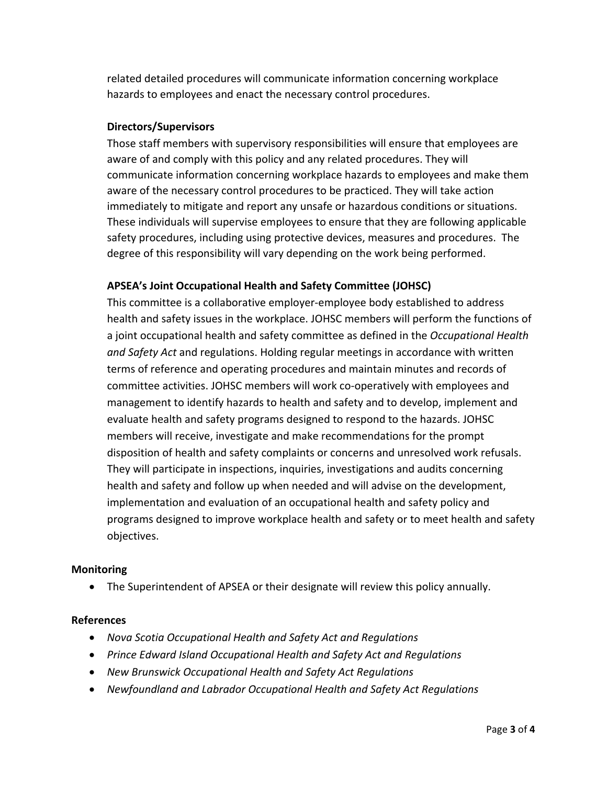related detailed procedures will communicate information concerning workplace hazards to employees and enact the necessary control procedures.

## **Directors/Supervisors**

Those staff members with supervisory responsibilities will ensure that employees are aware of and comply with this policy and any related procedures. They will communicate information concerning workplace hazards to employees and make them aware of the necessary control procedures to be practiced. They will take action immediately to mitigate and report any unsafe or hazardous conditions or situations. These individuals will supervise employees to ensure that they are following applicable safety procedures, including using protective devices, measures and procedures. The degree of this responsibility will vary depending on the work being performed.

### **APSEA's Joint Occupational Health and Safety Committee (JOHSC)**

This committee is a collaborative employer‐employee body established to address health and safety issues in the workplace. JOHSC members will perform the functions of a joint occupational health and safety committee as defined in the *Occupational Health and Safety Act* and regulations. Holding regular meetings in accordance with written terms of reference and operating procedures and maintain minutes and records of committee activities. JOHSC members will work co‐operatively with employees and management to identify hazards to health and safety and to develop, implement and evaluate health and safety programs designed to respond to the hazards. JOHSC members will receive, investigate and make recommendations for the prompt disposition of health and safety complaints or concerns and unresolved work refusals. They will participate in inspections, inquiries, investigations and audits concerning health and safety and follow up when needed and will advise on the development, implementation and evaluation of an occupational health and safety policy and programs designed to improve workplace health and safety or to meet health and safety objectives.

#### **Monitoring**

The Superintendent of APSEA or their designate will review this policy annually.

#### **References**

- *Nova Scotia Occupational Health and Safety Act and Regulations*
- *Prince Edward Island Occupational Health and Safety Act and Regulations*
- *New Brunswick Occupational Health and Safety Act Regulations*
- *Newfoundland and Labrador Occupational Health and Safety Act Regulations*